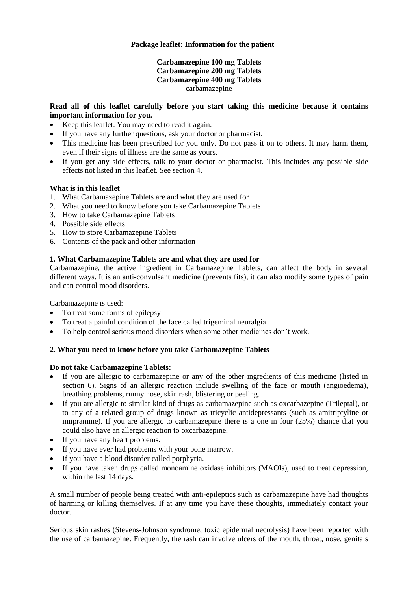## **Package leaflet: Information for the patient**

## **Carbamazepine 100 mg Tablets Carbamazepine 200 mg Tablets Carbamazepine 400 mg Tablets** carbamazepine

## **Read all of this leaflet carefully before you start taking this medicine because it contains important information for you.**

- Keep this leaflet. You may need to read it again.
- If you have any further questions, ask your doctor or pharmacist.
- This medicine has been prescribed for you only. Do not pass it on to others. It may harm them, even if their signs of illness are the same as yours.
- If you get any side effects, talk to your doctor or pharmacist. This includes any possible side effects not listed in this leaflet. See section 4.

### **What is in this leaflet**

- 1. What Carbamazepine Tablets are and what they are used for
- 2. What you need to know before you take Carbamazepine Tablets
- 3. How to take Carbamazepine Tablets
- 4. Possible side effects
- 5. How to store Carbamazepine Tablets
- 6. Contents of the pack and other information

## **1. What Carbamazepine Tablets are and what they are used for**

Carbamazepine, the active ingredient in Carbamazepine Tablets, can affect the body in several different ways. It is an anti-convulsant medicine (prevents fits), it can also modify some types of pain and can control mood disorders.

Carbamazepine is used:

- To treat some forms of epilepsy
- To treat a painful condition of the face called trigeminal neuralgia
- To help control serious mood disorders when some other medicines don't work.

### **2. What you need to know before you take Carbamazepine Tablets**

### **Do not take Carbamazepine Tablets:**

- If you are allergic to carbamazepine or any of the other ingredients of this medicine (listed in section 6). Signs of an allergic reaction include swelling of the face or mouth (angioedema), breathing problems, runny nose, skin rash, blistering or peeling.
- If you are allergic to similar kind of drugs as carbamazepine such as oxcarbazepine (Trileptal), or to any of a related group of drugs known as tricyclic antidepressants (such as amitriptyline or imipramine). If you are allergic to carbamazepine there is a one in four (25%) chance that you could also have an allergic reaction to oxcarbazepine.
- If you have any heart problems.
- If you have ever had problems with your bone marrow.
- If you have a blood disorder called porphyria.
- If you have taken drugs called monoamine oxidase inhibitors (MAOIs), used to treat depression, within the last 14 days.

A small number of people being treated with anti-epileptics such as carbamazepine have had thoughts of harming or killing themselves. If at any time you have these thoughts, immediately contact your doctor.

Serious skin rashes (Stevens-Johnson syndrome, toxic epidermal necrolysis) have been reported with the use of carbamazepine. Frequently, the rash can involve ulcers of the mouth, throat, nose, genitals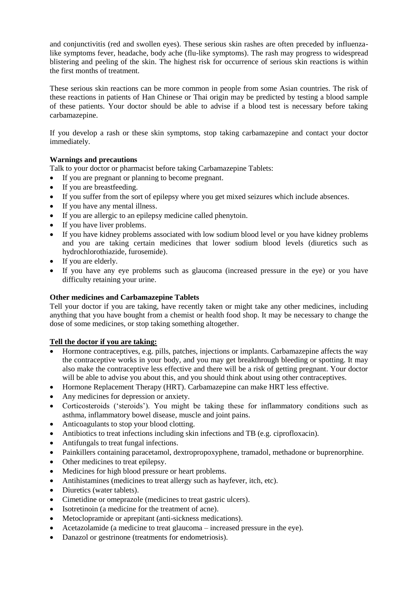and conjunctivitis (red and swollen eyes). These serious skin rashes are often preceded by influenzalike symptoms fever, headache, body ache (flu-like symptoms). The rash may progress to widespread blistering and peeling of the skin. The highest risk for occurrence of serious skin reactions is within the first months of treatment.

These serious skin reactions can be more common in people from some Asian countries. The risk of these reactions in patients of Han Chinese or Thai origin may be predicted by testing a blood sample of these patients. Your doctor should be able to advise if a blood test is necessary before taking carbamazepine.

If you develop a rash or these skin symptoms, stop taking carbamazepine and contact your doctor immediately.

## **Warnings and precautions**

Talk to your doctor or pharmacist before taking Carbamazepine Tablets:

- If you are pregnant or planning to become pregnant.
- If you are breastfeeding.
- If you suffer from the sort of epilepsy where you get mixed seizures which include absences.
- If you have any mental illness.
- If you are allergic to an epilepsy medicine called phenytoin.
- If you have liver problems.
- If you have kidney problems associated with low sodium blood level or you have kidney problems and you are taking certain medicines that lower sodium blood levels (diuretics such as hydrochlorothiazide, furosemide).
- If you are elderly.
- If you have any eye problems such as glaucoma (increased pressure in the eye) or you have difficulty retaining your urine.

### **Other medicines and Carbamazepine Tablets**

Tell your doctor if you are taking, have recently taken or might take any other medicines, including anything that you have bought from a chemist or health food shop. It may be necessary to change the dose of some medicines, or stop taking something altogether.

### **Tell the doctor if you are taking:**

- Hormone contraceptives, e.g. pills, patches, injections or implants. Carbamazepine affects the way the contraceptive works in your body, and you may get breakthrough bleeding or spotting. It may also make the contraceptive less effective and there will be a risk of getting pregnant. Your doctor will be able to advise you about this, and you should think about using other contraceptives.
- Hormone Replacement Therapy (HRT). Carbamazepine can make HRT less effective.
- Any medicines for depression or anxiety.
- Corticosteroids ('steroids'). You might be taking these for inflammatory conditions such as asthma, inflammatory bowel disease, muscle and joint pains.
- Anticoagulants to stop your blood clotting.
- Antibiotics to treat infections including skin infections and TB (e.g. ciprofloxacin).
- Antifungals to treat fungal infections.
- Painkillers containing paracetamol, dextropropoxyphene, tramadol, methadone or buprenorphine.
- Other medicines to treat epilepsy.
- Medicines for high blood pressure or heart problems.
- Antihistamines (medicines to treat allergy such as hayfever, itch, etc).
- Diuretics (water tablets).
- Cimetidine or omeprazole (medicines to treat gastric ulcers).
- Isotretinoin (a medicine for the treatment of acne).
- Metoclopramide or aprepitant (anti-sickness medications).
- Acetazolamide (a medicine to treat glaucoma increased pressure in the eye).
- Danazol or gestrinone (treatments for endometriosis).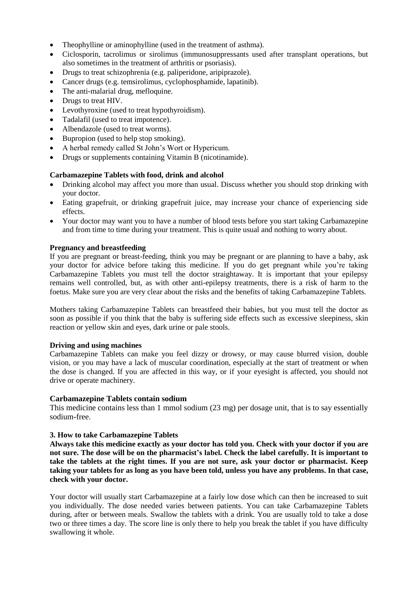- Theophylline or aminophylline (used in the treatment of asthma).
- Ciclosporin, tacrolimus or sirolimus (immunosuppressants used after transplant operations, but also sometimes in the treatment of arthritis or psoriasis).
- Drugs to treat schizophrenia (e.g. paliperidone, aripiprazole).
- Cancer drugs (e.g. temsirolimus, cyclophosphamide, lapatinib).
- The anti-malarial drug, mefloquine.
- Drugs to treat HIV.
- Levothyroxine (used to treat hypothyroidism).
- Tadalafil (used to treat impotence).
- Albendazole (used to treat worms).
- Bupropion (used to help stop smoking).
- A herbal remedy called St John's Wort or Hypericum.
- Drugs or supplements containing Vitamin B (nicotinamide).

### **Carbamazepine Tablets with food, drink and alcohol**

- Drinking alcohol may affect you more than usual. Discuss whether you should stop drinking with your doctor.
- Eating grapefruit, or drinking grapefruit juice, may increase your chance of experiencing side effects.
- Your doctor may want you to have a number of blood tests before you start taking Carbamazepine and from time to time during your treatment. This is quite usual and nothing to worry about.

### **Pregnancy and breastfeeding**

If you are pregnant or breast-feeding, think you may be pregnant or are planning to have a baby, ask your doctor for advice before taking this medicine. If you do get pregnant while you're taking Carbamazepine Tablets you must tell the doctor straightaway. It is important that your epilepsy remains well controlled, but, as with other anti-epilepsy treatments, there is a risk of harm to the foetus. Make sure you are very clear about the risks and the benefits of taking Carbamazepine Tablets.

Mothers taking Carbamazepine Tablets can breastfeed their babies, but you must tell the doctor as soon as possible if you think that the baby is suffering side effects such as excessive sleepiness, skin reaction or yellow skin and eyes, dark urine or pale stools.

### **Driving and using machines**

Carbamazepine Tablets can make you feel dizzy or drowsy, or may cause blurred vision, double vision, or you may have a lack of muscular coordination, especially at the start of treatment or when the dose is changed. If you are affected in this way, or if your eyesight is affected, you should not drive or operate machinery.

### **Carbamazepine Tablets contain sodium**

This medicine contains less than 1 mmol sodium (23 mg) per dosage unit, that is to say essentially sodium-free.

### **3. How to take Carbamazepine Tablets**

**Always take this medicine exactly as your doctor has told you. Check with your doctor if you are not sure. The dose will be on the pharmacist's label. Check the label carefully. It is important to take the tablets at the right times. If you are not sure, ask your doctor or pharmacist. Keep taking your tablets for as long as you have been told, unless you have any problems. In that case, check with your doctor.** 

Your doctor will usually start Carbamazepine at a fairly low dose which can then be increased to suit you individually. The dose needed varies between patients. You can take Carbamazepine Tablets during, after or between meals. Swallow the tablets with a drink. You are usually told to take a dose two or three times a day. The score line is only there to help you break the tablet if you have difficulty swallowing it whole.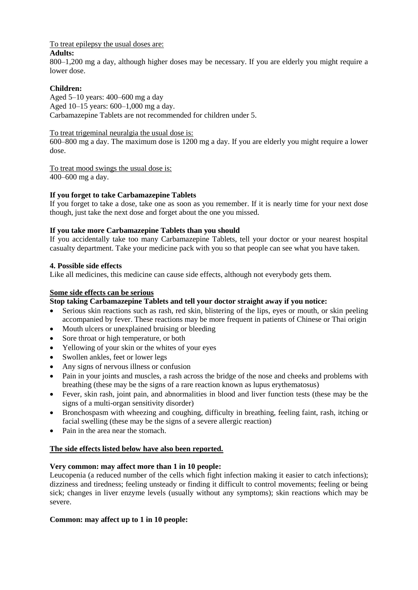To treat epilepsy the usual doses are:

### **Adults:**

800–1,200 mg a day, although higher doses may be necessary. If you are elderly you might require a lower dose.

## **Children:**

Aged 5–10 years: 400–600 mg a day Aged 10–15 years: 600–1,000 mg a day. Carbamazepine Tablets are not recommended for children under 5.

### To treat trigeminal neuralgia the usual dose is:

600–800 mg a day. The maximum dose is 1200 mg a day. If you are elderly you might require a lower dose.

To treat mood swings the usual dose is: 400–600 mg a day.

# **If you forget to take Carbamazepine Tablets**

If you forget to take a dose, take one as soon as you remember. If it is nearly time for your next dose though, just take the next dose and forget about the one you missed.

## **If you take more Carbamazepine Tablets than you should**

If you accidentally take too many Carbamazepine Tablets, tell your doctor or your nearest hospital casualty department. Take your medicine pack with you so that people can see what you have taken.

## **4. Possible side effects**

Like all medicines, this medicine can cause side effects, although not everybody gets them.

## **Some side effects can be serious**

# **Stop taking Carbamazepine Tablets and tell your doctor straight away if you notice:**

- Serious skin reactions such as rash, red skin, blistering of the lips, eyes or mouth, or skin peeling accompanied by fever. These reactions may be more frequent in patients of Chinese or Thai origin
- Mouth ulcers or unexplained bruising or bleeding
- Sore throat or high temperature, or both
- Yellowing of your skin or the whites of your eyes
- Swollen ankles, feet or lower legs
- Any signs of nervous illness or confusion
- Pain in your joints and muscles, a rash across the bridge of the nose and cheeks and problems with breathing (these may be the signs of a rare reaction known as lupus erythematosus)
- Fever, skin rash, joint pain, and abnormalities in blood and liver function tests (these may be the signs of a multi-organ sensitivity disorder)
- Bronchospasm with wheezing and coughing, difficulty in breathing, feeling faint, rash, itching or facial swelling (these may be the signs of a severe allergic reaction)
- Pain in the area near the stomach.

# **The side effects listed below have also been reported.**

### **Very common: may affect more than 1 in 10 people:**

Leucopenia (a reduced number of the cells which fight infection making it easier to catch infections); dizziness and tiredness; feeling unsteady or finding it difficult to control movements; feeling or being sick; changes in liver enzyme levels (usually without any symptoms); skin reactions which may be severe.

### **Common: may affect up to 1 in 10 people:**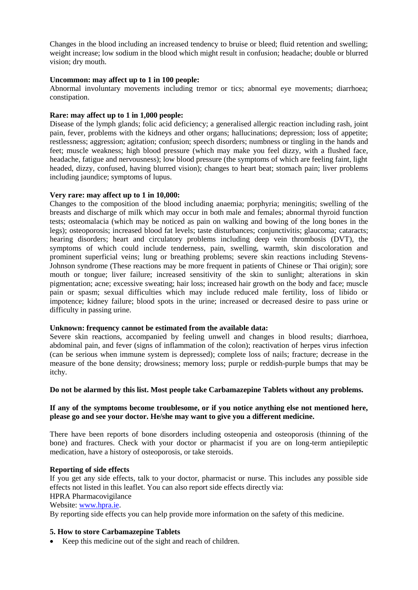Changes in the blood including an increased tendency to bruise or bleed; fluid retention and swelling; weight increase; low sodium in the blood which might result in confusion; headache; double or blurred vision; dry mouth.

### **Uncommon: may affect up to 1 in 100 people:**

Abnormal involuntary movements including tremor or tics; abnormal eye movements; diarrhoea; constipation.

### **Rare: may affect up to 1 in 1,000 people:**

Disease of the lymph glands; folic acid deficiency; a generalised allergic reaction including rash, joint pain, fever, problems with the kidneys and other organs; hallucinations; depression; loss of appetite; restlessness; aggression; agitation; confusion; speech disorders; numbness or tingling in the hands and feet; muscle weakness; high blood pressure (which may make you feel dizzy, with a flushed face, headache, fatigue and nervousness); low blood pressure (the symptoms of which are feeling faint, light headed, dizzy, confused, having blurred vision); changes to heart beat; stomach pain; liver problems including jaundice; symptoms of lupus.

## **Very rare: may affect up to 1 in 10,000:**

Changes to the composition of the blood including anaemia; porphyria; meningitis; swelling of the breasts and discharge of milk which may occur in both male and females; abnormal thyroid function tests; osteomalacia (which may be noticed as pain on walking and bowing of the long bones in the legs); osteoporosis; increased blood fat levels; taste disturbances; conjunctivitis; glaucoma; cataracts; hearing disorders; heart and circulatory problems including deep vein thrombosis (DVT), the symptoms of which could include tenderness, pain, swelling, warmth, skin discoloration and prominent superficial veins; lung or breathing problems; severe skin reactions including Stevens-Johnson syndrome (These reactions may be more frequent in patients of Chinese or Thai origin); sore mouth or tongue; liver failure; increased sensitivity of the skin to sunlight; alterations in skin pigmentation; acne; excessive sweating; hair loss; increased hair growth on the body and face; muscle pain or spasm; sexual difficulties which may include reduced male fertility, loss of libido or impotence; kidney failure; blood spots in the urine; increased or decreased desire to pass urine or difficulty in passing urine.

### **Unknown: frequency cannot be estimated from the available data:**

Severe skin reactions, accompanied by feeling unwell and changes in blood results; diarrhoea, abdominal pain, and fever (signs of inflammation of the colon); reactivation of herpes virus infection (can be serious when immune system is depressed); complete loss of nails; fracture; decrease in the measure of the bone density; drowsiness; memory loss; purple or reddish-purple bumps that may be itchy.

### **Do not be alarmed by this list. Most people take Carbamazepine Tablets without any problems.**

## **If any of the symptoms become troublesome, or if you notice anything else not mentioned here, please go and see your doctor. He/she may want to give you a different medicine.**

There have been reports of bone disorders including osteopenia and osteoporosis (thinning of the bone) and fractures. Check with your doctor or pharmacist if you are on long-term antiepileptic medication, have a history of osteoporosis, or take steroids.

### **Reporting of side effects**

If you get any side effects, talk to your doctor, pharmacist or nurse. This includes any possible side effects not listed in this leaflet. You can also report side effects directly via:

#### HPRA Pharmacovigilance Website[: www.hpra.ie.](http://www.hpra.ie/)

By reporting side effects you can help provide more information on the safety of this medicine.

# **5. How to store Carbamazepine Tablets**

Keep this medicine out of the sight and reach of children.